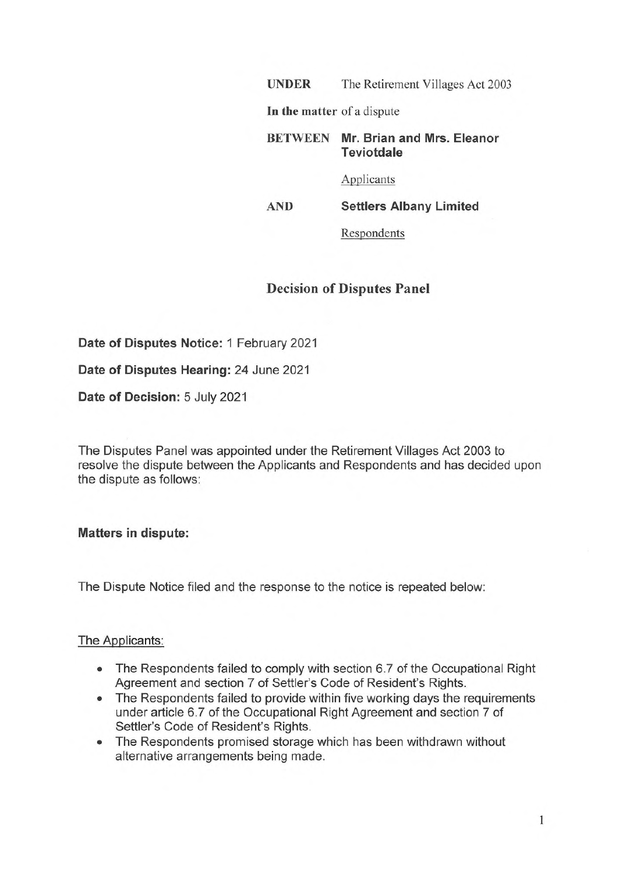**UNDER** The Retirement Villages Act 2003

In **the matter** of a dispute

**BETWEEN Mr. Brian and Mrs. Eleanor Teviotdale** 

Applicants

**AND Settlers Albany Limited** 

Respondents

# **Decision of Disputes Panel**

**Date of Disputes Notice:** 1 February 2021

**Date of Disputes Hearing:** 24 June 2021

**Date of Decision:** 5 July 2021

The Disputes Panel was appointed under the Retirement Villages Act 2003 to resolve the dispute between the Applicants and Respondents and has decided upon the dispute as follows:

**Matters in dispute:** 

The Dispute Notice filed and the response to the notice is repeated below:

### The Applicants:

- The Respondents failed to comply with section 6.7 of the Occupational Right Agreement and section 7 of Settler's Code of Resident's Rights.
- The Respondents failed to provide within five working days the requirements under article 6.7 of the Occupational Right Agreement and section 7 of Settler's Code of Resident's Rights.
- The Respondents promised storage which has been withdrawn without alternative arrangements being made.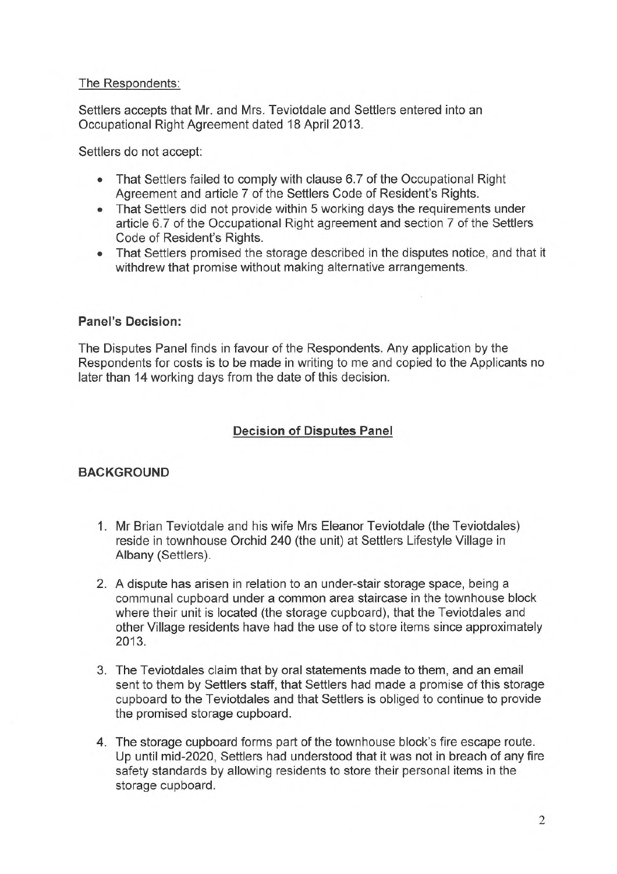### The Respondents:

Settlers accepts that Mr. and Mrs. Teviotdale and Settlers entered into an Occupational Right Agreement dated 18 April 2013.

Settlers do not accept:

- That Settlers failed to comply with clause 6.7 of the Occupational Right Agreement and article 7 of the Settlers Code of Resident's Rights.
- That Settlers did not provide within 5 working days the requirements under article 6.7 of the Occupational Right agreement and section 7 of the Settlers Code of Resident's Rights.
- That Settlers promised the storage described in the disputes notice, and that it withdrew that promise without making alternative arrangements.

### **Panel's Decision:**

The Disputes Panel finds in favour of the Respondents. Any application by the Respondents for costs is to be made in writing to me and copied to the Applicants no later than 14 working days from the date of this decision.

## **Decision of Disputes Panel**

### **BACKGROUND**

- 1. Mr Brian Teviotdale and his wife Mrs Eleanor Teviotdale (the Teviotdales) reside in townhouse Orchid 240 (the unit) at Settlers Lifestyle Village in Albany (Settlers).
- 2. A dispute has arisen in relation to an under-stair storage space, being a communal cupboard under a common area staircase in the townhouse block where their unit is located (the storage cupboard), that the Teviotdales and other Village residents have had the use of to store items since approximately 2013.
- 3. The Teviotdales claim that by oral statements made to them, and an email sent to them by Settlers staff, that Settlers had made a promise of this storage cupboard to the Teviotdales and that Settlers is obliged to continue to provide the promised storage cupboard.
- 4. The storage cupboard forms part of the townhouse block's fire escape route. Up until mid-2020, Settlers had understood that it was not in breach of any fire safety standards by allowing residents to store their personal items in the storage cupboard.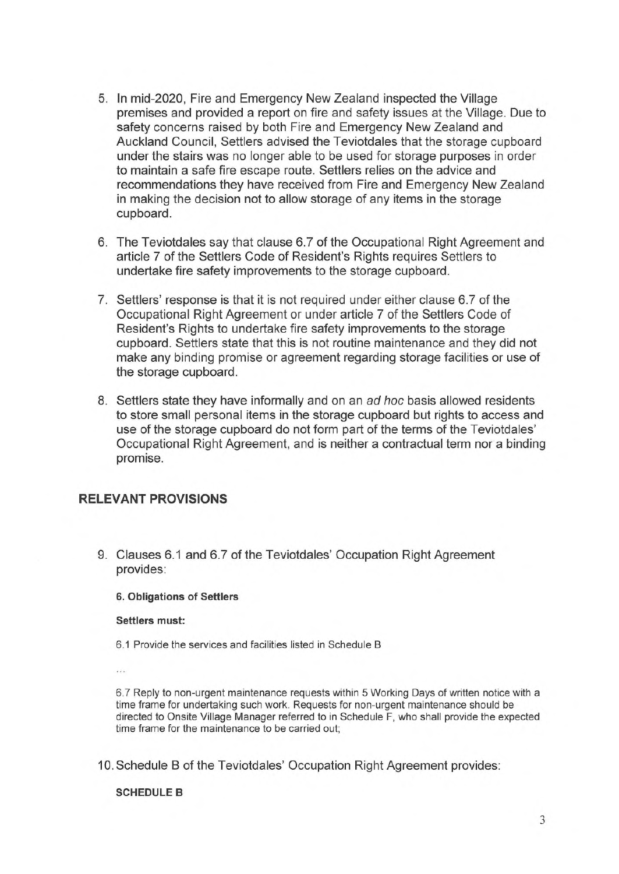- 5. In mid-2020, Fire and Emergency New Zealand inspected the Village premises and provided a report on fire and safety issues at the Village. Due to safety concerns raised by both Fire and Emergency New Zealand and Auckland Council, Settlers advised the Teviotdales that the storage cupboard under the stairs was no longer able to be used for storage purposes in order to maintain a safe fire escape route. Settlers relies on the advice and recommendations they have received from Fire and Emergency New Zealand in making the decision not to allow storage of any items in the storage cupboard.
- 6. The Teviotdales say that clause 6.7 of the Occupational Right Agreement and article 7 of the Settlers Code of Resident's Rights requires Settlers to undertake fire safety improvements to the storage cupboard.
- 7. Settlers' response is that it is not required under either clause 6.7 of the Occupational Right Agreement or under article 7 of the Settlers Code of Resident's Rights to undertake fire safety improvements to the storage cupboard. Settlers state that this is not routine maintenance and they did not make any binding promise or agreement regarding storage facilities or use of the storage cupboard.
- 8. Settlers state they have informally and on an *ad hoc* basis allowed residents to store small personal items in the storage cupboard but rights to access and use of the storage cupboard do not form part of the terms of the Teviotdales' Occupational Right Agreement, and is neither a contractual term nor a binding promise.

### **RELEVANT PROVISIONS**

9. Clauses 6.1 and 6.7 of the Teviotdales' Occupation Right Agreement provides:

### **6. Obligations of Settlers**

#### **Settlers must:**

- 6.1 Provide the services and facilities listed in Schedule B
- $\cdots$

6. 7 Reply to non-urgent maintenance requests within 5 Working Days of written notice with a time frame for undertaking such work. Requests for non-urgent maintenance should be directed to Onsite Village Manager referred to in Schedule F, who shall provide the expected time frame for the maintenance to be carried out;

10. Schedule B of the Teviotdales' Occupation Right Agreement provides:

#### **SCHEDULE B**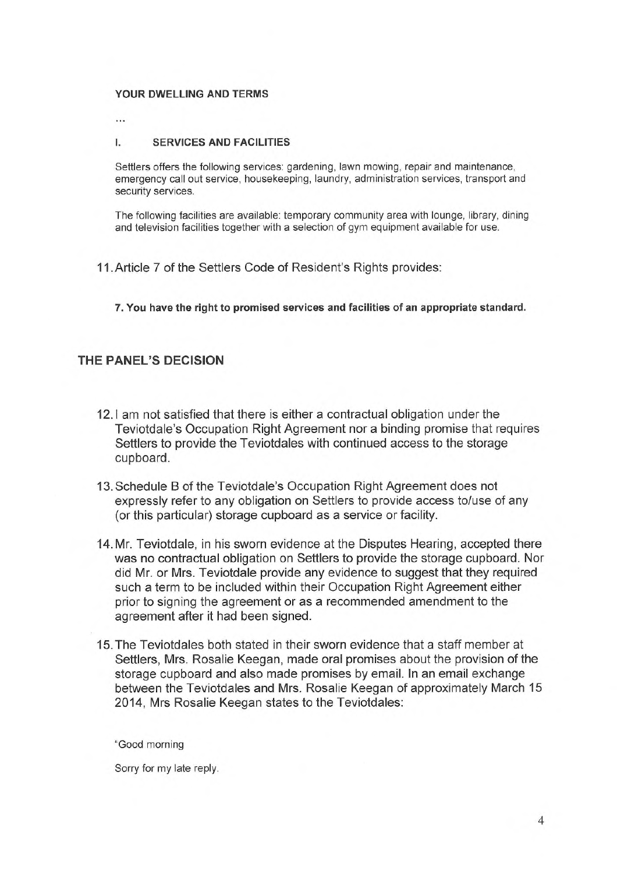#### **YOUR DWELLING AND TERMS**

 $\ddotsc$ 

#### I. **SERVICES AND FACILITIES**

Settlers offers the following services: gardening, lawn mowing, repair and maintenance, emergency call out service, housekeeping, laundry, administration services, transport and security services.

The following facilities are available: temporary community area with lounge, library, dining and television facilities together with a selection of gym equipment available for use.

11.Article 7 of the Settlers Code of Resident's Rights provides:

**7. You have the right to promised services and facilities of an appropriate standard.** 

### **THE PANEL'S DECISION**

- 12.1 am not satisfied that there is either a contractual obligation under the Teviotdale's Occupation Right Agreement nor a binding promise that requires Settlers to provide the Teviotdales with continued access to the storage cupboard.
- 13. Schedule Bof the Teviotdale's Occupation Right Agreement does not expressly refer to any obligation on Settlers to provide access to/use of any (or this particular) storage cupboard as a service or facility.
- 14. Mr. Teviotdale, in his sworn evidence at the Disputes Hearing, accepted there was no contractual obligation on Settlers to provide the storage cupboard. Nor did Mr. or Mrs. Teviotdale provide any evidence to suggest that they required such a term to be included within their Occupation Right Agreement either prior to signing the agreement or as a recommended amendment to the agreement after it had been signed.
- 15. The Teviotdales both stated in their sworn evidence that a staff member at Settlers, Mrs. Rosalie Keegan, made oral promises about the provision of the storage cupboard and also made promises by email. In an email exchange between the Teviotdales and Mrs. Rosalie Keegan of approximately March 15 2014, Mrs Rosalie Keegan states to the Teviotdales:

"Good morning

Sorry for my late reply.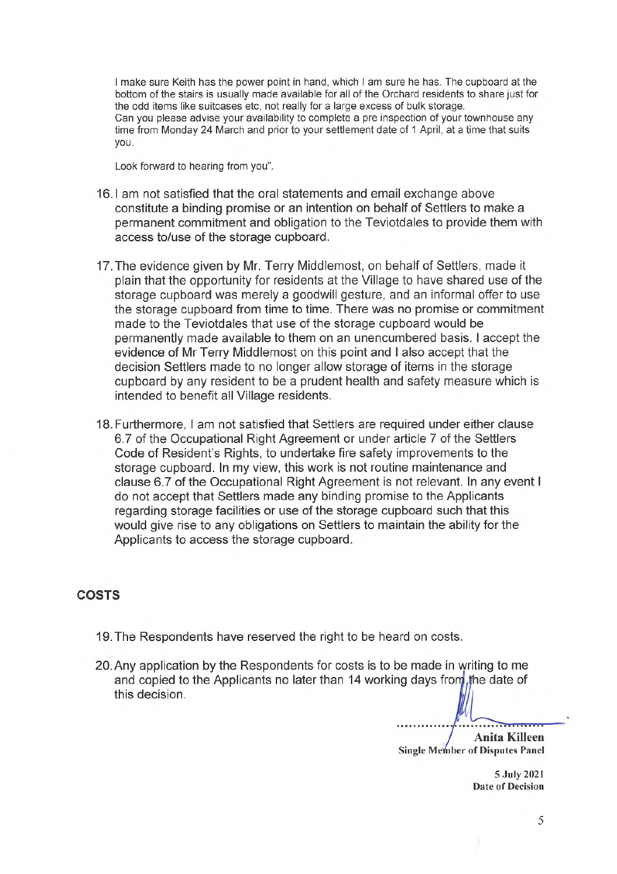I make sure Keith has the power point in hand, which I am sure he has. The cupboard at the bottom of the stairs is usually made available for all of the Orchard residents to share just for the odd items like suitcases etc, not really for a large excess of bulk storage. Can you please advise your availability to complete a pre inspection of your townhouse any time from Monday 24 March and prior to your settlement date of 1 April, at a time that suits you.

Look forward to hearing from you".

- 16.1 am not satisfied that the oral statements and email exchange above constitute a binding promise or an intention on behalf of Settlers to make a permanent commitment and obligation to the Teviotdales to provide them with access to/use of the storage cupboard.
- 17. The evidence given by Mr. Terry Middlemost, on behalf of Settlers, made it plain that the opportunity for residents at the Village to have shared use of the storage cupboard was merely a goodwill gesture, and an informal offer to use the storage cupboard from time to time. There was no promise or commitment made to the Teviotdales that use of the storage cupboard would be permanently made available to them on an unencumbered basis. I accept the evidence of Mr Terry Middlemost on this point and I also accept that the decision Settlers made to no longer allow storage of items in the storage cupboard by any resident to be a prudent health and safety measure which is intended to benefit all Village residents.
- 18. Furthermore, I am not satisfied that Settlers are required under either clause 6.7 of the Occupational Right Agreement or under article 7 of the Settlers Code of Resident's Rights, to undertake fire safety improvements to the storage cupboard. In my view, this work is not routine maintenance and clause 6.7 of the Occupational Right Agreement is not relevant. In any event I do not accept that Settlers made any binding promise to the Applicants regarding storage facilities or use of the storage cupboard such that this would give rise to any obligations on Settlers to maintain the ability for the Applicants to access the storage cupboard.

### **COSTS**

- 19. The Respondents have reserved the right to be heard on costs.
- 20.Any application by the Respondents for costs is to be made in writing to me and copied to the Applicants no later than 14 working days from the date of this decision. and on costs.<br>
De made in writing to me<br>
In writing to me<br>
The date of<br>
Anita Killeen<br>
Single Member of Disputes Panel

**Anita Killeen Single Member of Disputes Panel** 

> 5 July 2021 Date of Decision